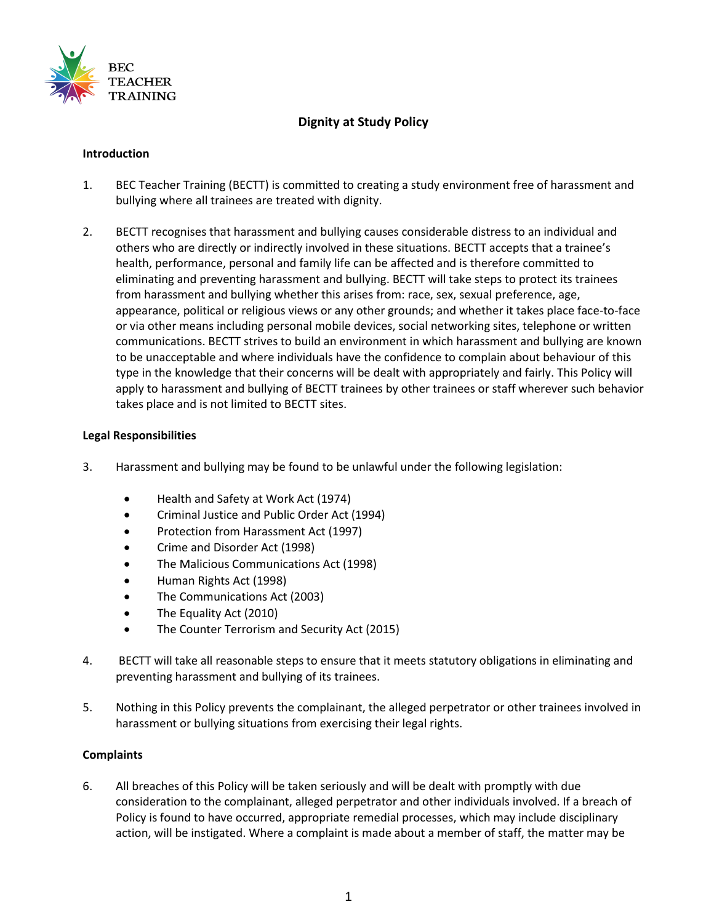

# **Dignity at Study Policy**

#### **Introduction**

- 1. BEC Teacher Training (BECTT) is committed to creating a study environment free of harassment and bullying where all trainees are treated with dignity.
- 2. BECTT recognises that harassment and bullying causes considerable distress to an individual and others who are directly or indirectly involved in these situations. BECTT accepts that a trainee's health, performance, personal and family life can be affected and is therefore committed to eliminating and preventing harassment and bullying. BECTT will take steps to protect its trainees from harassment and bullying whether this arises from: race, sex, sexual preference, age, appearance, political or religious views or any other grounds; and whether it takes place face-to-face or via other means including personal mobile devices, social networking sites, telephone or written communications. BECTT strives to build an environment in which harassment and bullying are known to be unacceptable and where individuals have the confidence to complain about behaviour of this type in the knowledge that their concerns will be dealt with appropriately and fairly. This Policy will apply to harassment and bullying of BECTT trainees by other trainees or staff wherever such behavior takes place and is not limited to BECTT sites.

#### **Legal Responsibilities**

- 3. Harassment and bullying may be found to be unlawful under the following legislation:
	- Health and Safety at Work Act (1974)
	- Criminal Justice and Public Order Act (1994)
	- Protection from Harassment Act (1997)
	- Crime and Disorder Act (1998)
	- The Malicious Communications Act (1998)
	- Human Rights Act (1998)
	- The Communications Act (2003)
	- The Equality Act (2010)
	- The Counter Terrorism and Security Act (2015)
- 4. BECTT will take all reasonable steps to ensure that it meets statutory obligations in eliminating and preventing harassment and bullying of its trainees.
- 5. Nothing in this Policy prevents the complainant, the alleged perpetrator or other trainees involved in harassment or bullying situations from exercising their legal rights.

#### **Complaints**

6. All breaches of this Policy will be taken seriously and will be dealt with promptly with due consideration to the complainant, alleged perpetrator and other individuals involved. If a breach of Policy is found to have occurred, appropriate remedial processes, which may include disciplinary action, will be instigated. Where a complaint is made about a member of staff, the matter may be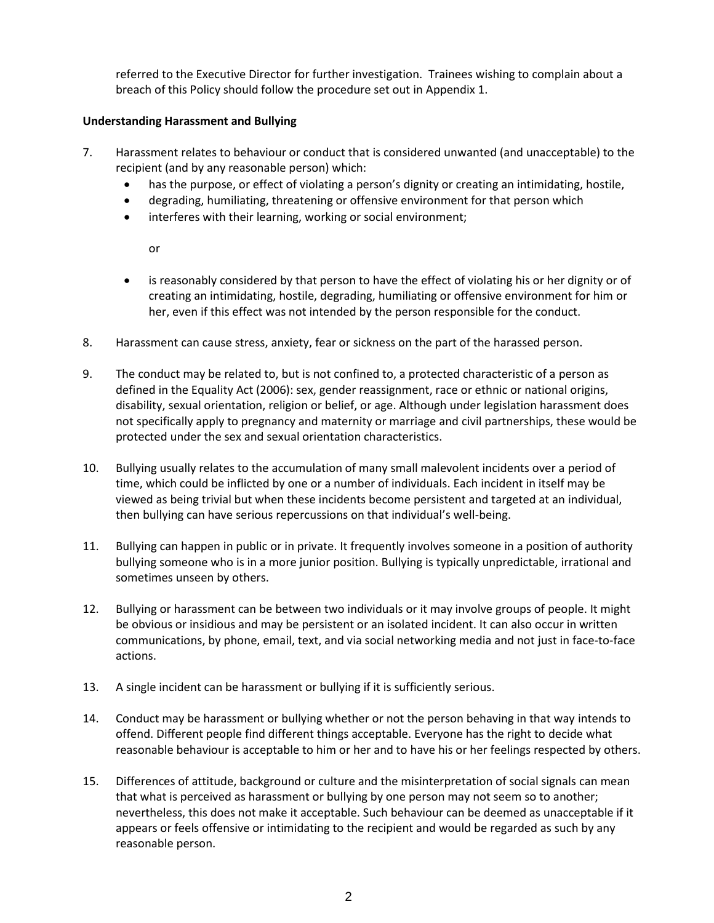referred to the Executive Director for further investigation. Trainees wishing to complain about a breach of this Policy should follow the procedure set out in Appendix 1.

## **Understanding Harassment and Bullying**

- 7. Harassment relates to behaviour or conduct that is considered unwanted (and unacceptable) to the recipient (and by any reasonable person) which:
	- has the purpose, or effect of violating a person's dignity or creating an intimidating, hostile,
	- degrading, humiliating, threatening or offensive environment for that person which
	- interferes with their learning, working or social environment;

or

- is reasonably considered by that person to have the effect of violating his or her dignity or of creating an intimidating, hostile, degrading, humiliating or offensive environment for him or her, even if this effect was not intended by the person responsible for the conduct.
- 8. Harassment can cause stress, anxiety, fear or sickness on the part of the harassed person.
- 9. The conduct may be related to, but is not confined to, a protected characteristic of a person as defined in the Equality Act (2006): sex, gender reassignment, race or ethnic or national origins, disability, sexual orientation, religion or belief, or age. Although under legislation harassment does not specifically apply to pregnancy and maternity or marriage and civil partnerships, these would be protected under the sex and sexual orientation characteristics.
- 10. Bullying usually relates to the accumulation of many small malevolent incidents over a period of time, which could be inflicted by one or a number of individuals. Each incident in itself may be viewed as being trivial but when these incidents become persistent and targeted at an individual, then bullying can have serious repercussions on that individual's well-being.
- 11. Bullying can happen in public or in private. It frequently involves someone in a position of authority bullying someone who is in a more junior position. Bullying is typically unpredictable, irrational and sometimes unseen by others.
- 12. Bullying or harassment can be between two individuals or it may involve groups of people. It might be obvious or insidious and may be persistent or an isolated incident. It can also occur in written communications, by phone, email, text, and via social networking media and not just in face-to-face actions.
- 13. A single incident can be harassment or bullying if it is sufficiently serious.
- 14. Conduct may be harassment or bullying whether or not the person behaving in that way intends to offend. Different people find different things acceptable. Everyone has the right to decide what reasonable behaviour is acceptable to him or her and to have his or her feelings respected by others.
- 15. Differences of attitude, background or culture and the misinterpretation of social signals can mean that what is perceived as harassment or bullying by one person may not seem so to another; nevertheless, this does not make it acceptable. Such behaviour can be deemed as unacceptable if it appears or feels offensive or intimidating to the recipient and would be regarded as such by any reasonable person.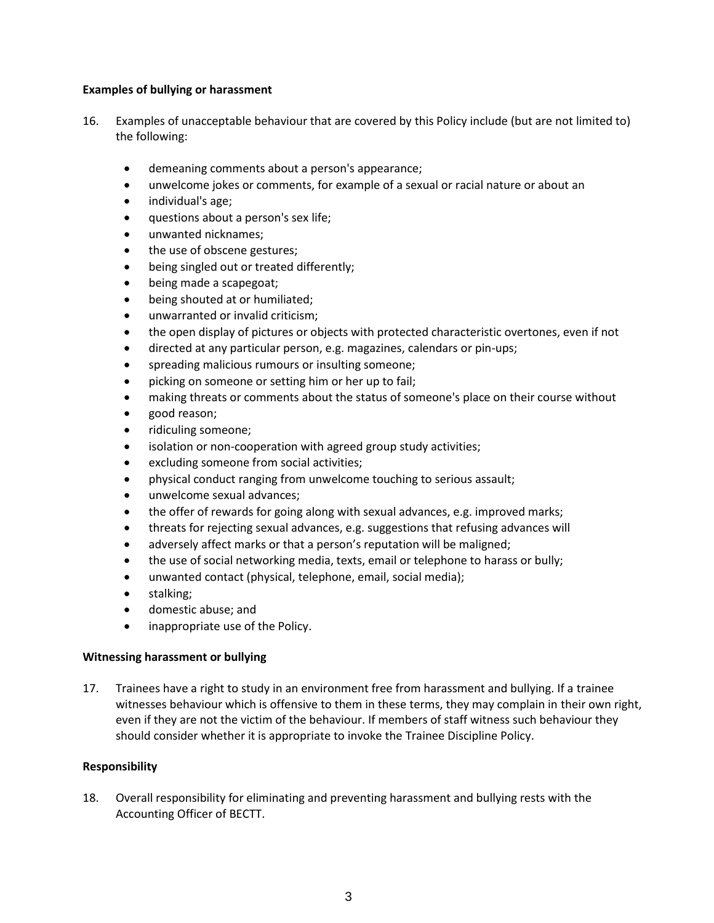### **Examples of bullying or harassment**

- 16. Examples of unacceptable behaviour that are covered by this Policy include (but are not limited to) the following:
	- demeaning comments about a person's appearance;
	- unwelcome jokes or comments, for example of a sexual or racial nature or about an
	- individual's age;
	- questions about a person's sex life;
	- unwanted nicknames;
	- the use of obscene gestures;
	- being singled out or treated differently;
	- being made a scapegoat;
	- being shouted at or humiliated;
	- unwarranted or invalid criticism;
	- the open display of pictures or objects with protected characteristic overtones, even if not
	- directed at any particular person, e.g. magazines, calendars or pin-ups;
	- spreading malicious rumours or insulting someone;
	- picking on someone or setting him or her up to fail;
	- making threats or comments about the status of someone's place on their course without
	- good reason;
	- ridiculing someone;
	- isolation or non-cooperation with agreed group study activities;
	- excluding someone from social activities;
	- physical conduct ranging from unwelcome touching to serious assault;
	- unwelcome sexual advances;
	- the offer of rewards for going along with sexual advances, e.g. improved marks;
	- threats for rejecting sexual advances, e.g. suggestions that refusing advances will
	- adversely affect marks or that a person's reputation will be maligned;
	- the use of social networking media, texts, email or telephone to harass or bully;
	- unwanted contact (physical, telephone, email, social media);
	- stalking;
	- domestic abuse; and
	- inappropriate use of the Policy.

#### **Witnessing harassment or bullying**

17. Trainees have a right to study in an environment free from harassment and bullying. If a trainee witnesses behaviour which is offensive to them in these terms, they may complain in their own right, even if they are not the victim of the behaviour. If members of staff witness such behaviour they should consider whether it is appropriate to invoke the Trainee Discipline Policy.

#### **Responsibility**

18. Overall responsibility for eliminating and preventing harassment and bullying rests with the Accounting Officer of BECTT.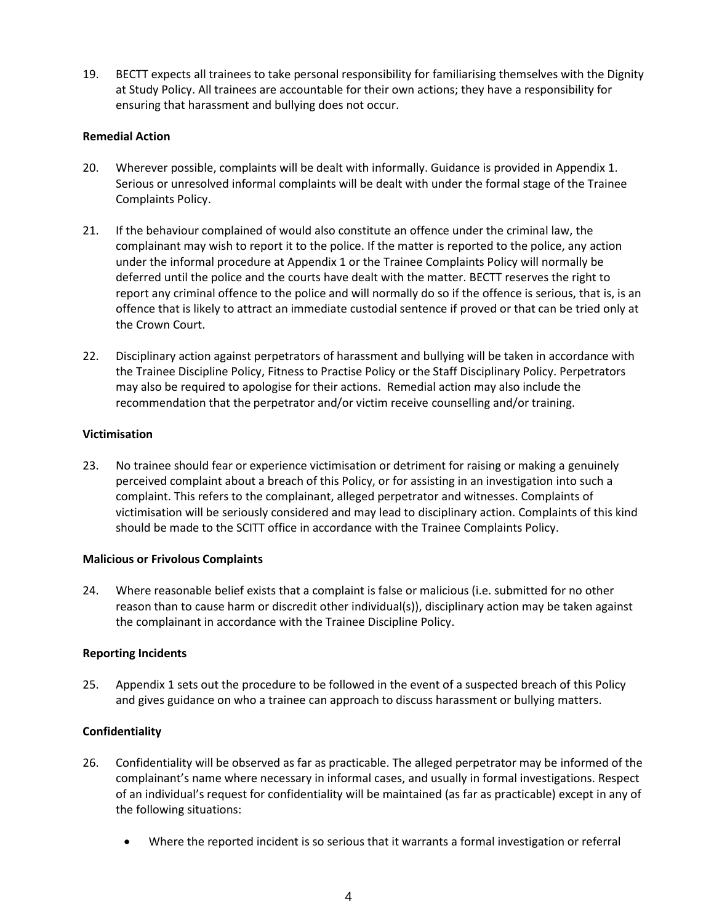19. BECTT expects all trainees to take personal responsibility for familiarising themselves with the Dignity at Study Policy. All trainees are accountable for their own actions; they have a responsibility for ensuring that harassment and bullying does not occur.

#### **Remedial Action**

- 20. Wherever possible, complaints will be dealt with informally. Guidance is provided in Appendix 1. Serious or unresolved informal complaints will be dealt with under the formal stage of the Trainee Complaints Policy.
- 21. If the behaviour complained of would also constitute an offence under the criminal law, the complainant may wish to report it to the police. If the matter is reported to the police, any action under the informal procedure at Appendix 1 or the Trainee Complaints Policy will normally be deferred until the police and the courts have dealt with the matter. BECTT reserves the right to report any criminal offence to the police and will normally do so if the offence is serious, that is, is an offence that is likely to attract an immediate custodial sentence if proved or that can be tried only at the Crown Court.
- 22. Disciplinary action against perpetrators of harassment and bullying will be taken in accordance with the Trainee Discipline Policy, Fitness to Practise Policy or the Staff Disciplinary Policy. Perpetrators may also be required to apologise for their actions. Remedial action may also include the recommendation that the perpetrator and/or victim receive counselling and/or training.

## **Victimisation**

23. No trainee should fear or experience victimisation or detriment for raising or making a genuinely perceived complaint about a breach of this Policy, or for assisting in an investigation into such a complaint. This refers to the complainant, alleged perpetrator and witnesses. Complaints of victimisation will be seriously considered and may lead to disciplinary action. Complaints of this kind should be made to the SCITT office in accordance with the Trainee Complaints Policy.

#### **Malicious or Frivolous Complaints**

24. Where reasonable belief exists that a complaint is false or malicious (i.e. submitted for no other reason than to cause harm or discredit other individual(s)), disciplinary action may be taken against the complainant in accordance with the Trainee Discipline Policy.

## **Reporting Incidents**

25. Appendix 1 sets out the procedure to be followed in the event of a suspected breach of this Policy and gives guidance on who a trainee can approach to discuss harassment or bullying matters.

## **Confidentiality**

- 26. Confidentiality will be observed as far as practicable. The alleged perpetrator may be informed of the complainant's name where necessary in informal cases, and usually in formal investigations. Respect of an individual's request for confidentiality will be maintained (as far as practicable) except in any of the following situations:
	- Where the reported incident is so serious that it warrants a formal investigation or referral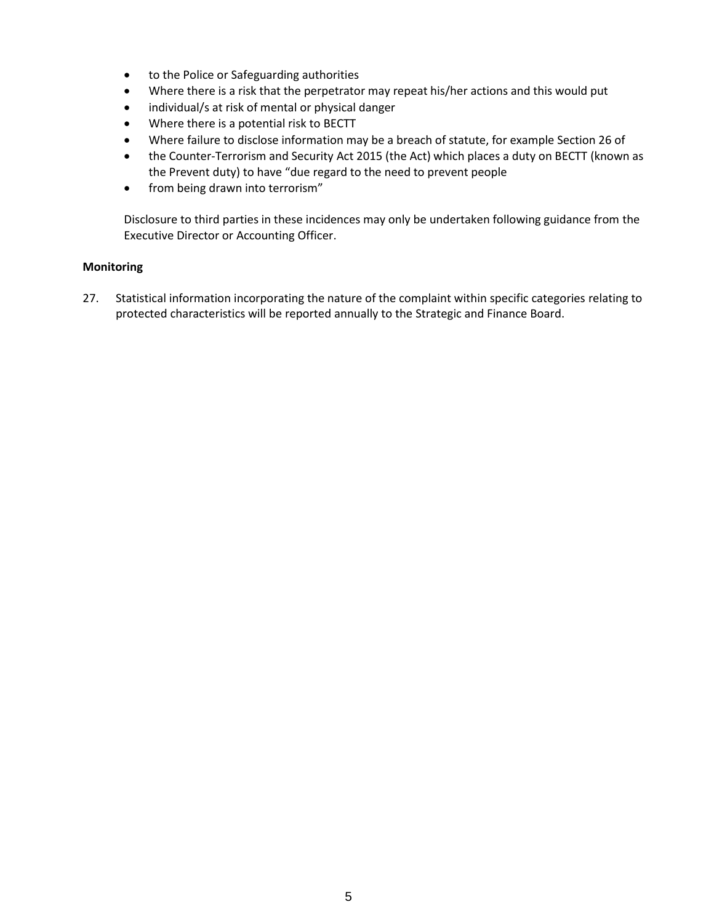- to the Police or Safeguarding authorities
- Where there is a risk that the perpetrator may repeat his/her actions and this would put
- individual/s at risk of mental or physical danger
- Where there is a potential risk to BECTT
- Where failure to disclose information may be a breach of statute, for example Section 26 of
- the Counter-Terrorism and Security Act 2015 (the Act) which places a duty on BECTT (known as the Prevent duty) to have "due regard to the need to prevent people
- from being drawn into terrorism"

Disclosure to third parties in these incidences may only be undertaken following guidance from the Executive Director or Accounting Officer.

#### **Monitoring**

27. Statistical information incorporating the nature of the complaint within specific categories relating to protected characteristics will be reported annually to the Strategic and Finance Board.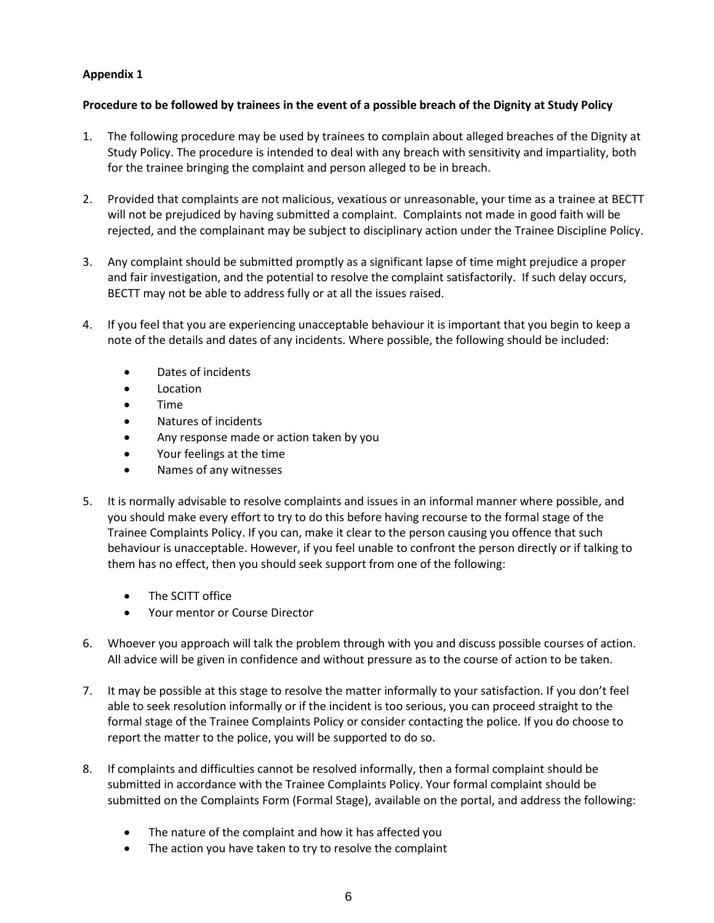## **Appendix 1**

## **Procedure to be followed by trainees in the event of a possible breach of the Dignity at Study Policy**

- 1. The following procedure may be used by trainees to complain about alleged breaches of the Dignity at Study Policy. The procedure is intended to deal with any breach with sensitivity and impartiality, both for the trainee bringing the complaint and person alleged to be in breach.
- 2. Provided that complaints are not malicious, vexatious or unreasonable, your time as a trainee at BECTT will not be prejudiced by having submitted a complaint. Complaints not made in good faith will be rejected, and the complainant may be subject to disciplinary action under the Trainee Discipline Policy.
- 3. Any complaint should be submitted promptly as a significant lapse of time might prejudice a proper and fair investigation, and the potential to resolve the complaint satisfactorily. If such delay occurs, BECTT may not be able to address fully or at all the issues raised.
- 4. If you feel that you are experiencing unacceptable behaviour it is important that you begin to keep a note of the details and dates of any incidents. Where possible, the following should be included:
	- Dates of incidents
	- Location
	- Time
	- Natures of incidents
	- Any response made or action taken by you
	- Your feelings at the time
	- Names of any witnesses
- 5. It is normally advisable to resolve complaints and issues in an informal manner where possible, and you should make every effort to try to do this before having recourse to the formal stage of the Trainee Complaints Policy. If you can, make it clear to the person causing you offence that such behaviour is unacceptable. However, if you feel unable to confront the person directly or if talking to them has no effect, then you should seek support from one of the following:
	- The SCITT office
	- Your mentor or Course Director
- 6. Whoever you approach will talk the problem through with you and discuss possible courses of action. All advice will be given in confidence and without pressure as to the course of action to be taken.
- 7. It may be possible at this stage to resolve the matter informally to your satisfaction. If you don't feel able to seek resolution informally or if the incident is too serious, you can proceed straight to the formal stage of the Trainee Complaints Policy or consider contacting the police. If you do choose to report the matter to the police, you will be supported to do so.
- 8. If complaints and difficulties cannot be resolved informally, then a formal complaint should be submitted in accordance with the Trainee Complaints Policy. Your formal complaint should be submitted on the Complaints Form (Formal Stage), available on the portal, and address the following:
	- The nature of the complaint and how it has affected you
	- The action you have taken to try to resolve the complaint